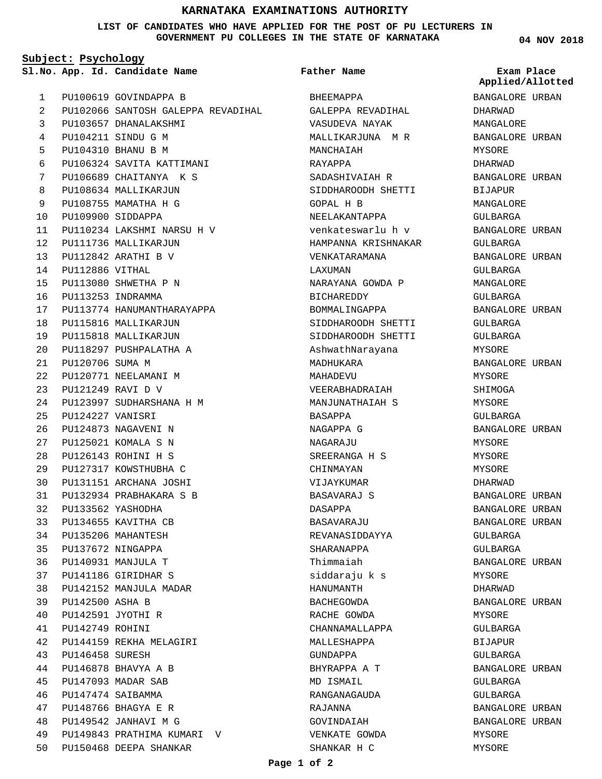## **KARNATAKA EXAMINATIONS AUTHORITY**

**LIST OF CANDIDATES WHO HAVE APPLIED FOR THE POST OF PU LECTURERS IN GOVERNMENT PU COLLEGES IN THE STATE OF KARNATAKA**

**Subject: Psychology**

**App. Id. Candidate Name Sl.No. Exam Place**

PU100619 GOVINDAPPA B PU102066 SANTOSH GALEPPA REVADIHAL PU103657 DHANALAKSHMI PU104211 SINDU G M PU104310 BHANU B M PU106324 SAVITA KATTIMANI PU106689 CHAITANYA K S PU108634 MALLIKARJUN PU108755 MAMATHA H G PU109900 SIDDAPPA PU110234 LAKSHMI NARSU H V PU111736 MALLIKARJUN PU112842 ARATHI B V PU112886 VITHAL PU113080 SHWETHA P N PU113253 INDRAMMA PU113774 HANUMANTHARAYAPPA PU115816 MALLIKARJUN PU115818 MALLIKARJUN PU118297 PUSHPALATHA A PU120706 SUMA M PU120771 NEELAMANI M PU121249 RAVI D V PU123997 SUDHARSHANA H M PU124227 VANISRI PU124873 NAGAVENI N PU125021 KOMALA S N PU126143 ROHINI H S PU127317 KOWSTHUBHA C PU131151 ARCHANA JOSHI PU132934 PRABHAKARA S B PU133562 YASHODHA PU134655 KAVITHA CB PU135206 MAHANTESH PU137672 NINGAPPA PU140931 MANJULA T PU141186 GIRIDHAR S PU142152 MANJULA MADAR PU142500 ASHA B PU142591 JYOTHI R PU142749 ROHINI PU144159 REKHA MELAGIRI PU146458 SURESH PU146878 BHAVYA A B PU147093 MADAR SAB PU147474 SAIBAMMA PU148766 BHAGYA E R PU149542 JANHAVI M G PU149843 PRATHIMA KUMARI V PU150468 DEEPA SHANKAR 1  $\overline{2}$ 3 4 5 6 7 8 9  $1<sub>0</sub>$ 11  $12$ 13 14 15 16 17 18 19  $20$  $21$ 22 23 24  $25$ 26  $27$  $28$  $29$ 30 31 32 33 34 35 36 37 38 39 40 41  $42$ 43 44 45 46 47 48 49 50

## **Father Name**

BHEEMAPPA GALEPPA REVADIHAL VASUDEVA NAYAK MALLIKARJUNA M R MANCHAIAH RAYAPPA SADASHIVAIAH R SIDDHAROODH SHETTI GOPAL H B NEELAKANTAPPA venkateswarlu h v HAMPANNA KRISHNAKAR VENKATARAMANA LAXUMAN NARAYANA GOWDA P BICHAREDDY BOMMALINGAPPA SIDDHAROODH SHETTI SIDDHAROODH SHETTI AshwathNarayana MADHUKARA MAHADEVU VEERABHADRAIAH MANJUNATHAIAH S BASAPPA NAGAPPA G NAGARAJU SREERANGA H S CHINMAYAN VIJAYKUMAR BASAVARAJ S DASAPPA BASAVARAJU REVANASIDDAYYA SHARANAPPA Thimmaiah siddaraju k s HANUMANTH BACHEGOWDA RACHE GOWDA CHANNAMALLAPPA MALLESHAPPA GUNDAPPA BHYRAPPA A T MD TSMATI. RANGANAGAUDA RAJANNA GOVINDAIAH VENKATE GOWDA SHANKAR H C

**04 NOV 2018**

BANGALORE URBAN DHARWAD MANGALORE BANGALORE URBAN MYSORE DHARWAD BANGALORE URBAN BIJAPUR MANGALORE GULBARGA BANGALORE URBAN GULBARGA BANGALORE URBAN GULBARGA MANGALORE GULBARGA BANGALORE URBAN GULBARGA GULBARGA MYSORE BANGALORE URBAN MYSORE SHIMOGA MYSORE GULBARGA BANGALORE URBAN MYSORE MYSORE MYSORE DHARWAD BANGALORE URBAN BANGALORE URBAN BANGALORE URBAN GULBARGA GULBARGA BANGALORE URBAN MYSORE DHARWAD BANGALORE URBAN MYSORE GULBARGA BIJAPUR GULBARGA BANGALORE URBAN GULBARGA GULBARGA BANGALORE URBAN BANGALORE URBAN MYSORE MYSORE **Applied/Allotted**